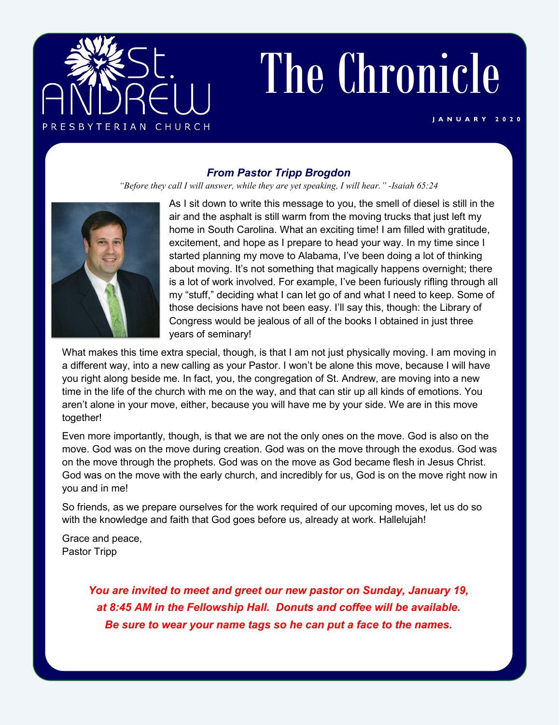

# The Chronicle

#### **J A N U A R Y 2 0 2 0**

## *From Pastor Tripp Brogdon*

*"Before they call I will answer, while they are yet speaking, I will hear." -Isaiah 65:24*



As I sit down to write this message to you, the smell of diesel is still in the air and the asphalt is still warm from the moving trucks that just left my home in South Carolina. What an exciting time! I am filled with gratitude, excitement, and hope as I prepare to head your way. In my time since I started planning my move to Alabama, I've been doing a lot of thinking about moving. It's not something that magically happens overnight; there is a lot of work involved. For example, I've been furiously rifling through all my "stuff," deciding what I can let go of and what I need to keep. Some of those decisions have not been easy. I'll say this, though: the Library of Congress would be jealous of all of the books I obtained in just three years of seminary!

What makes this time extra special, though, is that I am not just physically moving. I am moving in a different way, into a new calling as your Pastor. I won't be alone this move, because I will have you right along beside me. In fact, you, the congregation of St. Andrew, are moving into a new time in the life of the church with me on the way, and that can stir up all kinds of emotions. You aren't alone in your move, either, because you will have me by your side. We are in this move together!

Even more importantly, though, is that we are not the only ones on the move. God is also on the move. God was on the move during creation. God was on the move through the exodus. God was on the move through the prophets. God was on the move as God became flesh in Jesus Christ. God was on the move with the early church, and incredibly for us, God is on the move right now in you and in me!

So friends, as we prepare ourselves for the work required of our upcoming moves, let us do so with the knowledge and faith that God goes before us, already at work. Hallelujah!

Grace and peace, Pastor Tripp

> *You are invited to meet and greet our new pastor on Sunday, January 19, at 8:45 AM in the Fellowship Hall. Donuts and coffee will be available. Be sure to wear your name tags so he can put a face to the names.*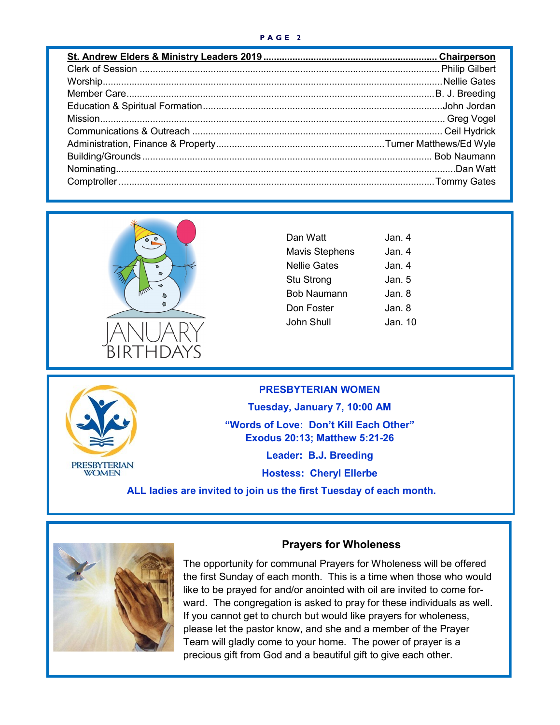#### **P A G E 2**



| Dan Watt              | Jan 4.  |
|-----------------------|---------|
| <b>Mavis Stephens</b> | Jan. 4  |
| <b>Nellie Gates</b>   | Jan. 4  |
| Stu Strong            | Jan. 5  |
| <b>Bob Naumann</b>    | Jan. 8  |
| Don Foster            | Jan. 8  |
| John Shull            | Jan. 10 |
|                       |         |



### **PRESBYTERIAN WOMEN**

**Tuesday, January 7, 10:00 AM**

**"Words of Love: Don't Kill Each Other" Exodus 20:13; Matthew 5:21-26**

**Leader: B.J. Breeding**

**Hostess: Cheryl Ellerbe**

**ALL ladies are invited to join us the first Tuesday of each month.**



## **Prayers for Wholeness**

The opportunity for communal Prayers for Wholeness will be offered the first Sunday of each month. This is a time when those who would like to be prayed for and/or anointed with oil are invited to come forward. The congregation is asked to pray for these individuals as well. If you cannot get to church but would like prayers for wholeness, please let the pastor know, and she and a member of the Prayer Team will gladly come to your home. The power of prayer is a precious gift from God and a beautiful gift to give each other.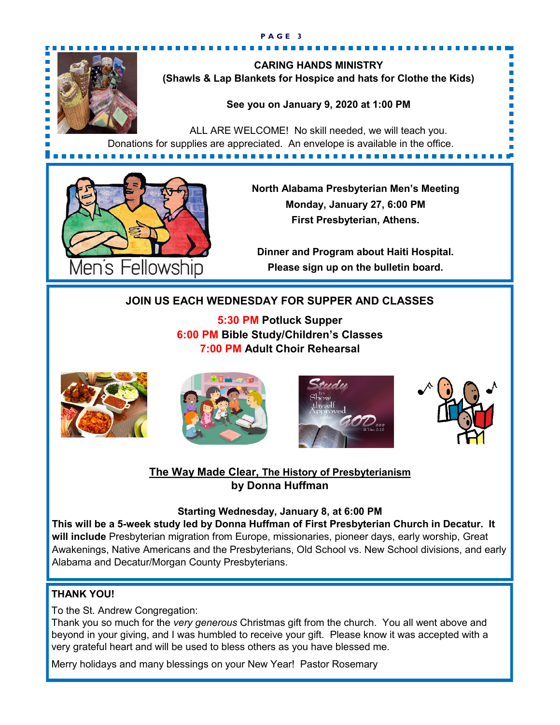

**CARING HANDS MINISTRY (Shawls & Lap Blankets for Hospice and hats for Clothe the Kids)**

## **See you on January 9, 2020 at 1:00 PM**

ALL ARE WELCOME! No skill needed, we will teach you. Donations for supplies are appreciated. An envelope is available in the office. 



**North Alabama Presbyterian Men's Meeting Monday, January 27, 6:00 PM First Presbyterian, Athens.**

**Dinner and Program about Haiti Hospital. Please sign up on the bulletin board.**

# **JOIN US EACH WEDNESDAY FOR SUPPER AND CLASSES**

**5:30 PM Potluck Supper 6:00 PM Bible Study/Children's Classes 7:00 PM Adult Choir Rehearsal**









# **The Way Made Clear, The History of Presbyterianism by Donna Huffman**

## **Starting Wednesday, January 8, at 6:00 PM**

**This will be a 5-week study led by Donna Huffman of First Presbyterian Church in Decatur. It will include** Presbyterian migration from Europe, missionaries, pioneer days, early worship, Great Awakenings, Native Americans and the Presbyterians, Old School vs. New School divisions, and early Alabama and Decatur/Morgan County Presbyterians.

## **THANK YOU!**

To the St. Andrew Congregation:

Thank you so much for the *very generous* Christmas gift from the church. You all went above and beyond in your giving, and I was humbled to receive your gift. Please know it was accepted with a very grateful heart and will be used to bless others as you have blessed me.

Merry holidays and many blessings on your New Year! Pastor Rosemary

#### **P A G E 3**